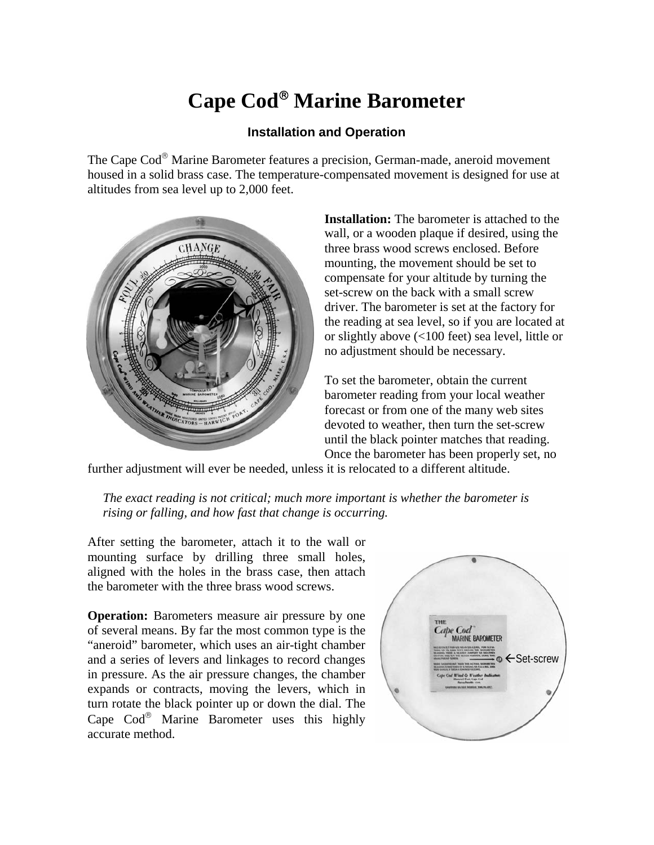## **Cape Cod**® **Marine Barometer**

## **Installation and Operation**

The Cape Cod® Marine Barometer features a precision, German-made, aneroid movement housed in a solid brass case. The temperature-compensated movement is designed for use at altitudes from sea level up to 2,000 feet.



**Installation:** The barometer is attached to the wall, or a wooden plaque if desired, using the three brass wood screws enclosed. Before mounting, the movement should be set to compensate for your altitude by turning the set-screw on the back with a small screw driver. The barometer is set at the factory for the reading at sea level, so if you are located at or slightly above (<100 feet) sea level, little or no adjustment should be necessary.

To set the barometer, obtain the current barometer reading from your local weather forecast or from one of the many web sites devoted to weather, then turn the set-screw until the black pointer matches that reading. Once the barometer has been properly set, no

further adjustment will ever be needed, unless it is relocated to a different altitude.

*The exact reading is not critical; much more important is whether the barometer is rising or falling, and how fast that change is occurring.*

After setting the barometer, attach it to the wall or mounting surface by drilling three small holes, aligned with the holes in the brass case, then attach the barometer with the three brass wood screws.

**Operation:** Barometers measure air pressure by one of several means. By far the most common type is the "aneroid" barometer, which uses an air-tight chamber and a series of levers and linkages to record changes in pressure. As the air pressure changes, the chamber expands or contracts, moving the levers, which in turn rotate the black pointer up or down the dial. The Cape Cod® Marine Barometer uses this highly accurate method.